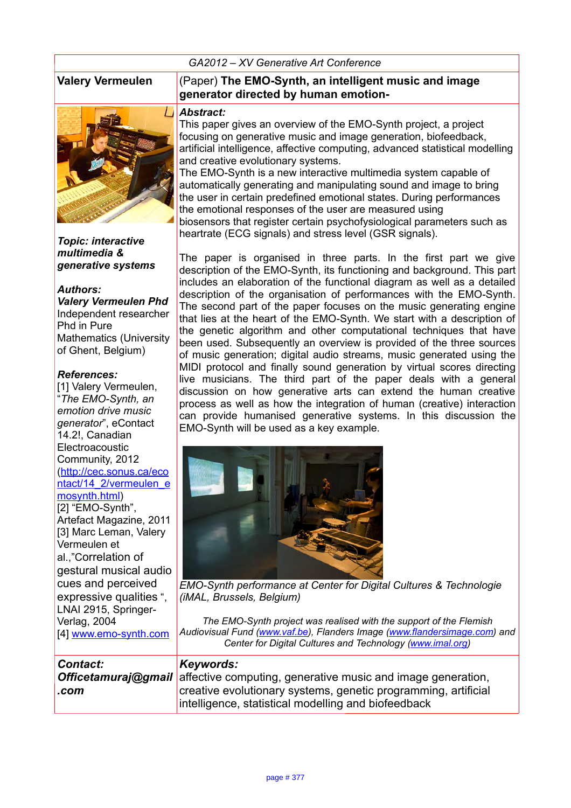#### *GA2012 – XV Generative Art Conference*



*Topic: interactive multimedia & generative systems*

#### *Authors:*

*Valery Vermeulen Phd* Independent researcher Phd in Pure Mathematics (University of Ghent, Belgium)

#### *References:*

[1] Valery Vermeulen, "*The EMO-Synth, an emotion drive music generator*", eContact 14.2!, Canadian **Electroacoustic** Community, 2012 [\(http://cec.sonus.ca/eco](http://cec.sonus.ca/econtact/14_2/vermeulen_emosynth.html) ntact/14 2/vermeulen\_e [mosynth.html\)](http://cec.sonus.ca/econtact/14_2/vermeulen_emosynth.html) [2] "EMO-Synth", Artefact Magazine, 2011 [3] Marc Leman, Valery Vermeulen et al.,"Correlation of gestural musical audio cues and perceived expressive qualities ", LNAI 2915, Springer-Verlag, 2004 [4] [www.emo-synth.com](http://www.generativeart.com/)

#### **Valery Vermeulen** (Paper) **The EMO-Synth, an intelligent music and image generator directed by human emotion-**

#### *Abstract:*

This paper gives an overview of the EMO-Synth project, a project focusing on generative music and image generation, biofeedback, artificial intelligence, affective computing, advanced statistical modelling and creative evolutionary systems.

The EMO-Synth is a new interactive multimedia system capable of automatically generating and manipulating sound and image to bring the user in certain predefined emotional states. During performances the emotional responses of the user are measured using biosensors that register certain psychofysiological parameters such as heartrate (ECG signals) and stress level (GSR signals).

The paper is organised in three parts. In the first part we give description of the EMO-Synth, its functioning and background. This part includes an elaboration of the functional diagram as well as a detailed description of the organisation of performances with the EMO-Synth. The second part of the paper focuses on the music generating engine that lies at the heart of the EMO-Synth. We start with a description of the genetic algorithm and other computational techniques that have been used. Subsequently an overview is provided of the three sources of music generation; digital audio streams, music generated using the MIDI protocol and finally sound generation by virtual scores directing live musicians. The third part of the paper deals with a general discussion on how generative arts can extend the human creative process as well as how the integration of human (creative) interaction can provide humanised generative systems. In this discussion the EMO-Synth will be used as a key example.



*EMO-Synth performance at Center for Digital Cultures & Technologie (iMAL, Brussels, Belgium)*

*The EMO-Synth project was realised with the support of the Flemish Audiovisual Fund [\(www.vaf.be\)](http://www.vaf.be/), Flanders Image [\(www.flandersimage.com\)](http://www.flandersimage.com/) and Center for Digital Cultures and Technology [\(www.imal.org\)](http://www.imal.org/)*

| <b>Contact:</b> | Keywords:                                                                              |
|-----------------|----------------------------------------------------------------------------------------|
|                 |                                                                                        |
|                 | <b>Officetamuraj@gmail</b> affective computing, generative music and image generation, |
| .com            | creative evolutionary systems, genetic programming, artificial                         |
|                 | intelligence, statistical modelling and biofeedback                                    |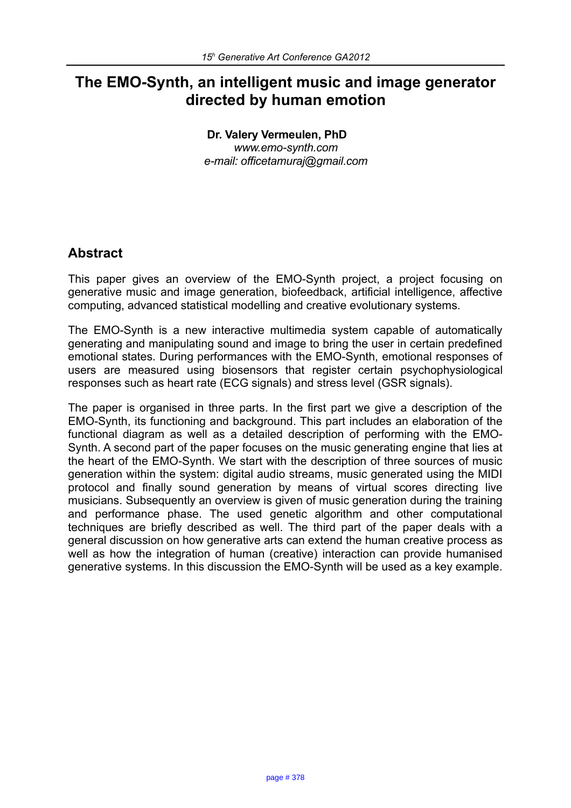# **The EMO-Synth, an intelligent music and image generator directed by human emotion**

**Dr. Valery Vermeulen, PhD** *www.emo-synth.com e-mail: officetamuraj@gmail.com*

# **Abstract**

This paper gives an overview of the EMO-Synth project, a project focusing on generative music and image generation, biofeedback, artificial intelligence, affective computing, advanced statistical modelling and creative evolutionary systems.

The EMO-Synth is a new interactive multimedia system capable of automatically generating and manipulating sound and image to bring the user in certain predefined emotional states. During performances with the EMO-Synth, emotional responses of users are measured using biosensors that register certain psychophysiological responses such as heart rate (ECG signals) and stress level (GSR signals).

The paper is organised in three parts. In the first part we give a description of the EMO-Synth, its functioning and background. This part includes an elaboration of the functional diagram as well as a detailed description of performing with the EMO-Synth. A second part of the paper focuses on the music generating engine that lies at the heart of the EMO-Synth. We start with the description of three sources of music generation within the system: digital audio streams, music generated using the MIDI protocol and finally sound generation by means of virtual scores directing live musicians. Subsequently an overview is given of music generation during the training and performance phase. The used genetic algorithm and other computational techniques are briefly described as well. The third part of the paper deals with a general discussion on how generative arts can extend the human creative process as well as how the integration of human (creative) interaction can provide humanised generative systems. In this discussion the EMO-Synth will be used as a key example.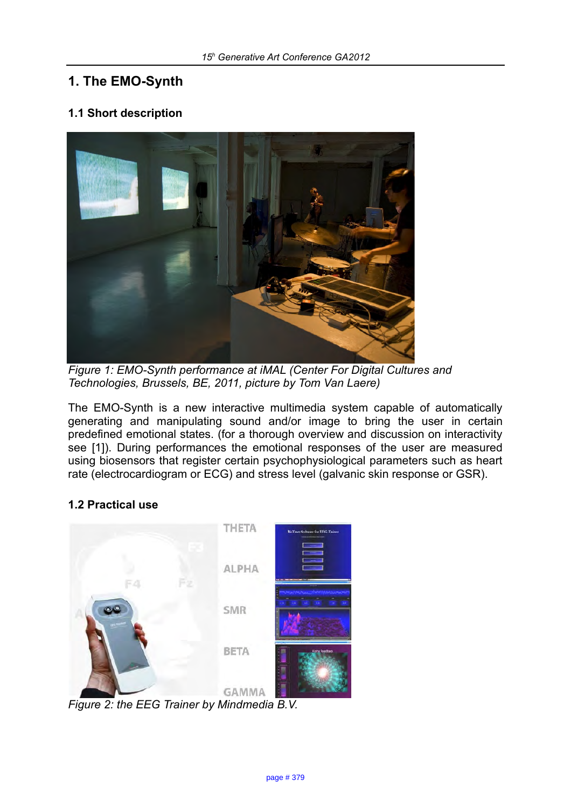# **1. The EMO-Synth**

## **1.1 Short description**



*Figure 1: EMO-Synth performance at iMAL (Center For Digital Cultures and Technologies, Brussels, BE, 2011, picture by Tom Van Laere)*

The EMO-Synth is a new interactive multimedia system capable of automatically generating and manipulating sound and/or image to bring the user in certain predefined emotional states. (for a thorough overview and discussion on interactivity see [1]). During performances the emotional responses of the user are measured using biosensors that register certain psychophysiological parameters such as heart rate (electrocardiogram or ECG) and stress level (galvanic skin response or GSR).

## **1.2 Practical use**



*Figure 2: the EEG Trainer by Mindmedia B.V.*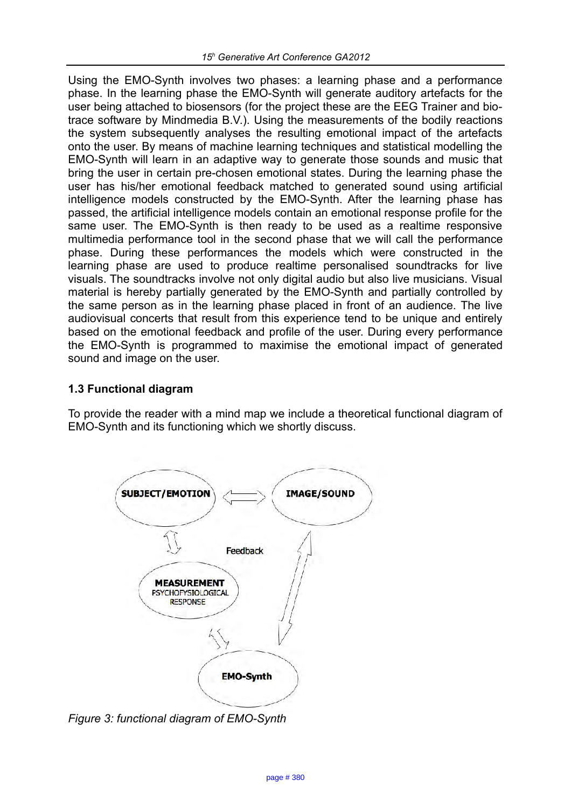Using the EMO-Synth involves two phases: a learning phase and a performance phase. In the learning phase the EMO-Synth will generate auditory artefacts for the user being attached to biosensors (for the project these are the EEG Trainer and biotrace software by Mindmedia B.V.). Using the measurements of the bodily reactions the system subsequently analyses the resulting emotional impact of the artefacts onto the user. By means of machine learning techniques and statistical modelling the EMO-Synth will learn in an adaptive way to generate those sounds and music that bring the user in certain pre-chosen emotional states. During the learning phase the user has his/her emotional feedback matched to generated sound using artificial intelligence models constructed by the EMO-Synth. After the learning phase has passed, the artificial intelligence models contain an emotional response profile for the same user. The EMO-Synth is then ready to be used as a realtime responsive multimedia performance tool in the second phase that we will call the performance phase. During these performances the models which were constructed in the learning phase are used to produce realtime personalised soundtracks for live visuals. The soundtracks involve not only digital audio but also live musicians. Visual material is hereby partially generated by the EMO-Synth and partially controlled by the same person as in the learning phase placed in front of an audience. The live audiovisual concerts that result from this experience tend to be unique and entirely based on the emotional feedback and profile of the user. During every performance the EMO-Synth is programmed to maximise the emotional impact of generated sound and image on the user.

## **1.3 Functional diagram**

To provide the reader with a mind map we include a theoretical functional diagram of EMO-Synth and its functioning which we shortly discuss.



*Figure 3: functional diagram of EMO-Synth*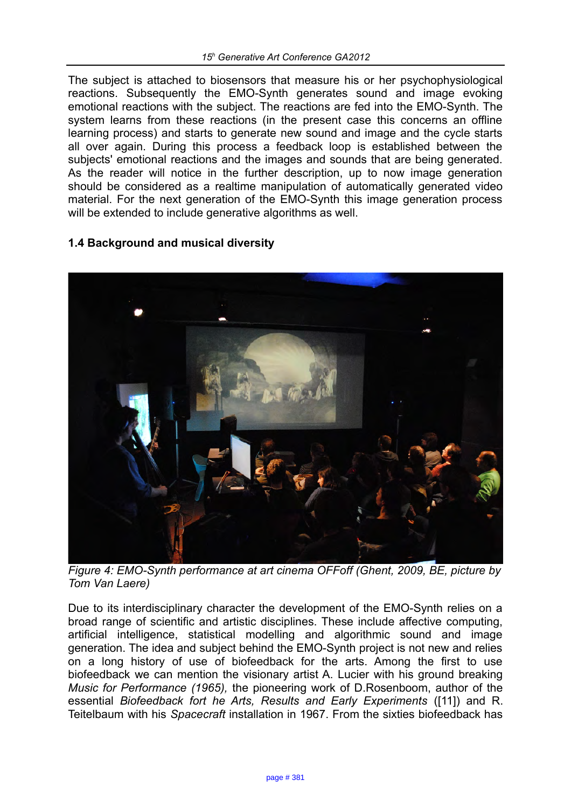The subject is attached to biosensors that measure his or her psychophysiological reactions. Subsequently the EMO-Synth generates sound and image evoking emotional reactions with the subject. The reactions are fed into the EMO-Synth. The system learns from these reactions (in the present case this concerns an offline learning process) and starts to generate new sound and image and the cycle starts all over again. During this process a feedback loop is established between the subjects' emotional reactions and the images and sounds that are being generated. As the reader will notice in the further description, up to now image generation should be considered as a realtime manipulation of automatically generated video material. For the next generation of the EMO-Synth this image generation process will be extended to include generative algorithms as well.

## **1.4 Background and musical diversity**



*Figure 4: EMO-Synth performance at art cinema OFFoff (Ghent, 2009, BE, picture by Tom Van Laere)*

Due to its interdisciplinary character the development of the EMO-Synth relies on a broad range of scientific and artistic disciplines. These include affective computing, artificial intelligence, statistical modelling and algorithmic sound and image generation. The idea and subject behind the EMO-Synth project is not new and relies on a long history of use of biofeedback for the arts. Among the first to use biofeedback we can mention the visionary artist A. Lucier with his ground breaking *Music for Performance (1965),* the pioneering work of D.Rosenboom, author of the essential *Biofeedback fort he Arts, Results and Early Experiments* ([11]) and R. Teitelbaum with his *Spacecraft* installation in 1967. From the sixties biofeedback has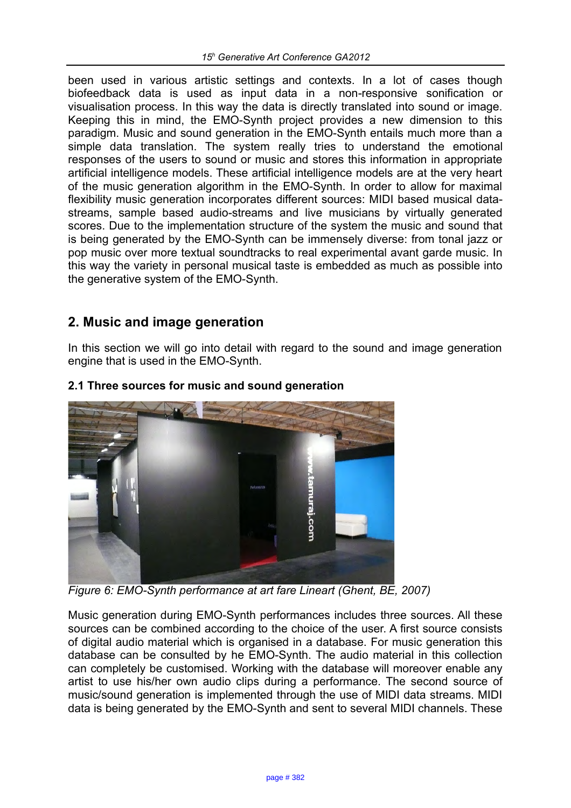been used in various artistic settings and contexts. In a lot of cases though biofeedback data is used as input data in a non-responsive sonification or visualisation process. In this way the data is directly translated into sound or image. Keeping this in mind, the EMO-Synth project provides a new dimension to this paradigm. Music and sound generation in the EMO-Synth entails much more than a simple data translation. The system really tries to understand the emotional responses of the users to sound or music and stores this information in appropriate artificial intelligence models. These artificial intelligence models are at the very heart of the music generation algorithm in the EMO-Synth. In order to allow for maximal flexibility music generation incorporates different sources: MIDI based musical datastreams, sample based audio-streams and live musicians by virtually generated scores. Due to the implementation structure of the system the music and sound that is being generated by the EMO-Synth can be immensely diverse: from tonal jazz or pop music over more textual soundtracks to real experimental avant garde music. In this way the variety in personal musical taste is embedded as much as possible into the generative system of the EMO-Synth.

# **2. Music and image generation**

In this section we will go into detail with regard to the sound and image generation engine that is used in the EMO-Synth.



## **2.1 Three sources for music and sound generation**

*Figure 6: EMO-Synth performance at art fare Lineart (Ghent, BE, 2007)*

Music generation during EMO-Synth performances includes three sources. All these sources can be combined according to the choice of the user. A first source consists of digital audio material which is organised in a database. For music generation this database can be consulted by he EMO-Synth. The audio material in this collection can completely be customised. Working with the database will moreover enable any artist to use his/her own audio clips during a performance. The second source of music/sound generation is implemented through the use of MIDI data streams. MIDI data is being generated by the EMO-Synth and sent to several MIDI channels. These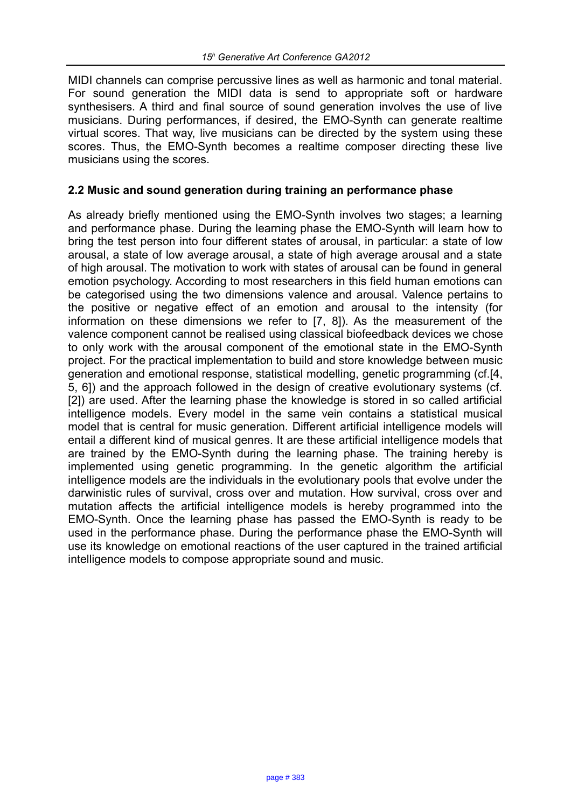MIDI channels can comprise percussive lines as well as harmonic and tonal material. For sound generation the MIDI data is send to appropriate soft or hardware synthesisers. A third and final source of sound generation involves the use of live musicians. During performances, if desired, the EMO-Synth can generate realtime virtual scores. That way, live musicians can be directed by the system using these scores. Thus, the EMO-Synth becomes a realtime composer directing these live musicians using the scores.

#### **2.2 Music and sound generation during training an performance phase**

As already briefly mentioned using the EMO-Synth involves two stages; a learning and performance phase. During the learning phase the EMO-Synth will learn how to bring the test person into four different states of arousal, in particular: a state of low arousal, a state of low average arousal, a state of high average arousal and a state of high arousal. The motivation to work with states of arousal can be found in general emotion psychology. According to most researchers in this field human emotions can be categorised using the two dimensions valence and arousal. Valence pertains to the positive or negative effect of an emotion and arousal to the intensity (for information on these dimensions we refer to [7, 8]). As the measurement of the valence component cannot be realised using classical biofeedback devices we chose to only work with the arousal component of the emotional state in the EMO-Synth project. For the practical implementation to build and store knowledge between music generation and emotional response, statistical modelling, genetic programming (cf.[4, 5, 6]) and the approach followed in the design of creative evolutionary systems (cf. [2]) are used. After the learning phase the knowledge is stored in so called artificial intelligence models. Every model in the same vein contains a statistical musical model that is central for music generation. Different artificial intelligence models will entail a different kind of musical genres. It are these artificial intelligence models that are trained by the EMO-Synth during the learning phase. The training hereby is implemented using genetic programming. In the genetic algorithm the artificial intelligence models are the individuals in the evolutionary pools that evolve under the darwinistic rules of survival, cross over and mutation. How survival, cross over and mutation affects the artificial intelligence models is hereby programmed into the EMO-Synth. Once the learning phase has passed the EMO-Synth is ready to be used in the performance phase. During the performance phase the EMO-Synth will use its knowledge on emotional reactions of the user captured in the trained artificial intelligence models to compose appropriate sound and music.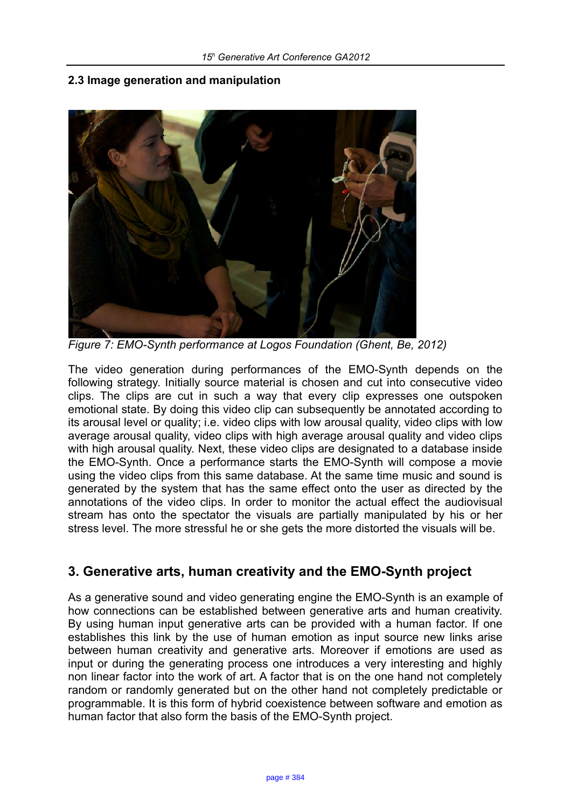#### **2.3 Image generation and manipulation**



*Figure 7: EMO-Synth performance at Logos Foundation (Ghent, Be, 2012)*

The video generation during performances of the EMO-Synth depends on the following strategy. Initially source material is chosen and cut into consecutive video clips. The clips are cut in such a way that every clip expresses one outspoken emotional state. By doing this video clip can subsequently be annotated according to its arousal level or quality; i.e. video clips with low arousal quality, video clips with low average arousal quality, video clips with high average arousal quality and video clips with high arousal quality. Next, these video clips are designated to a database inside the EMO-Synth. Once a performance starts the EMO-Synth will compose a movie using the video clips from this same database. At the same time music and sound is generated by the system that has the same effect onto the user as directed by the annotations of the video clips. In order to monitor the actual effect the audiovisual stream has onto the spectator the visuals are partially manipulated by his or her stress level. The more stressful he or she gets the more distorted the visuals will be.

# **3. Generative arts, human creativity and the EMO-Synth project**

As a generative sound and video generating engine the EMO-Synth is an example of how connections can be established between generative arts and human creativity. By using human input generative arts can be provided with a human factor. If one establishes this link by the use of human emotion as input source new links arise between human creativity and generative arts. Moreover if emotions are used as input or during the generating process one introduces a very interesting and highly non linear factor into the work of art. A factor that is on the one hand not completely random or randomly generated but on the other hand not completely predictable or programmable. It is this form of hybrid coexistence between software and emotion as human factor that also form the basis of the EMO-Synth project.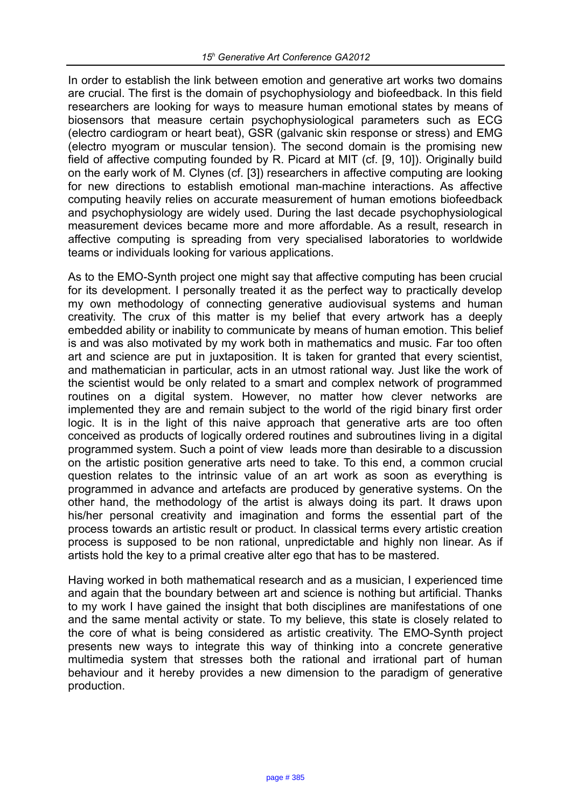In order to establish the link between emotion and generative art works two domains are crucial. The first is the domain of psychophysiology and biofeedback. In this field researchers are looking for ways to measure human emotional states by means of biosensors that measure certain psychophysiological parameters such as ECG (electro cardiogram or heart beat), GSR (galvanic skin response or stress) and EMG (electro myogram or muscular tension). The second domain is the promising new field of affective computing founded by R. Picard at MIT (cf. [9, 10]). Originally build on the early work of M. Clynes (cf. [3]) researchers in affective computing are looking for new directions to establish emotional man-machine interactions. As affective computing heavily relies on accurate measurement of human emotions biofeedback and psychophysiology are widely used. During the last decade psychophysiological measurement devices became more and more affordable. As a result, research in affective computing is spreading from very specialised laboratories to worldwide teams or individuals looking for various applications.

As to the EMO-Synth project one might say that affective computing has been crucial for its development. I personally treated it as the perfect way to practically develop my own methodology of connecting generative audiovisual systems and human creativity. The crux of this matter is my belief that every artwork has a deeply embedded ability or inability to communicate by means of human emotion. This belief is and was also motivated by my work both in mathematics and music. Far too often art and science are put in juxtaposition. It is taken for granted that every scientist, and mathematician in particular, acts in an utmost rational way. Just like the work of the scientist would be only related to a smart and complex network of programmed routines on a digital system. However, no matter how clever networks are implemented they are and remain subject to the world of the rigid binary first order logic. It is in the light of this naive approach that generative arts are too often conceived as products of logically ordered routines and subroutines living in a digital programmed system. Such a point of view leads more than desirable to a discussion on the artistic position generative arts need to take. To this end, a common crucial question relates to the intrinsic value of an art work as soon as everything is programmed in advance and artefacts are produced by generative systems. On the other hand, the methodology of the artist is always doing its part. It draws upon his/her personal creativity and imagination and forms the essential part of the process towards an artistic result or product. In classical terms every artistic creation process is supposed to be non rational, unpredictable and highly non linear. As if artists hold the key to a primal creative alter ego that has to be mastered.

Having worked in both mathematical research and as a musician, I experienced time and again that the boundary between art and science is nothing but artificial. Thanks to my work I have gained the insight that both disciplines are manifestations of one and the same mental activity or state. To my believe, this state is closely related to the core of what is being considered as artistic creativity. The EMO-Synth project presents new ways to integrate this way of thinking into a concrete generative multimedia system that stresses both the rational and irrational part of human behaviour and it hereby provides a new dimension to the paradigm of generative production.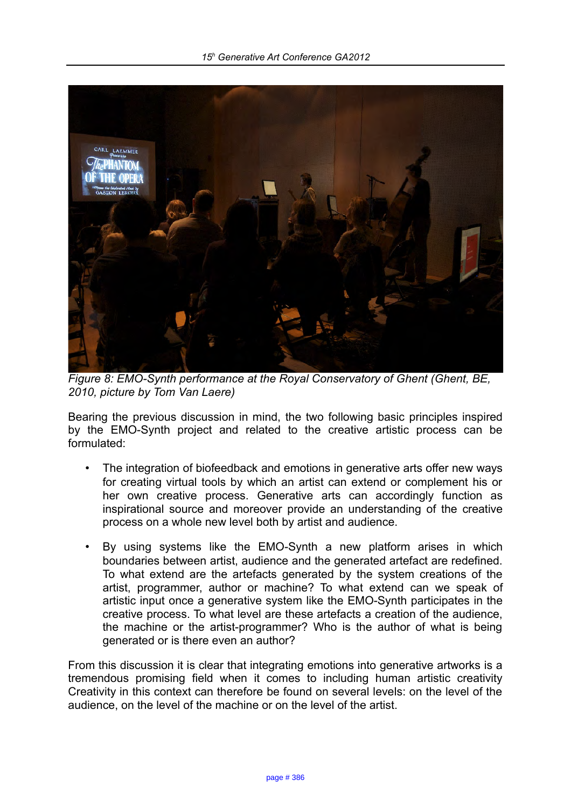

*Figure 8: EMO-Synth performance at the Royal Conservatory of Ghent (Ghent, BE, 2010, picture by Tom Van Laere)*

Bearing the previous discussion in mind, the two following basic principles inspired by the EMO-Synth project and related to the creative artistic process can be formulated:

- The integration of biofeedback and emotions in generative arts offer new ways for creating virtual tools by which an artist can extend or complement his or her own creative process. Generative arts can accordingly function as inspirational source and moreover provide an understanding of the creative process on a whole new level both by artist and audience.
- By using systems like the EMO-Synth a new platform arises in which boundaries between artist, audience and the generated artefact are redefined. To what extend are the artefacts generated by the system creations of the artist, programmer, author or machine? To what extend can we speak of artistic input once a generative system like the EMO-Synth participates in the creative process. To what level are these artefacts a creation of the audience, the machine or the artist-programmer? Who is the author of what is being generated or is there even an author?

From this discussion it is clear that integrating emotions into generative artworks is a tremendous promising field when it comes to including human artistic creativity Creativity in this context can therefore be found on several levels: on the level of the audience, on the level of the machine or on the level of the artist.